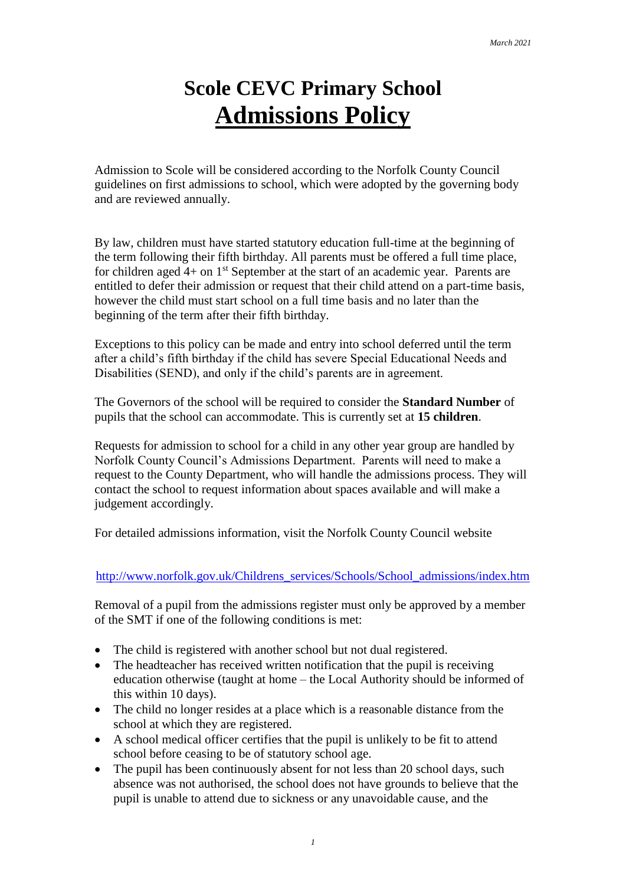# **Scole CEVC Primary School Admissions Policy**

Admission to Scole will be considered according to the Norfolk County Council guidelines on first admissions to school, which were adopted by the governing body and are reviewed annually.

By law, children must have started statutory education full-time at the beginning of the term following their fifth birthday. All parents must be offered a full time place, for children aged  $4+$  on  $1<sup>st</sup>$  September at the start of an academic year. Parents are entitled to defer their admission or request that their child attend on a part-time basis, however the child must start school on a full time basis and no later than the beginning of the term after their fifth birthday.

Exceptions to this policy can be made and entry into school deferred until the term after a child's fifth birthday if the child has severe Special Educational Needs and Disabilities (SEND), and only if the child's parents are in agreement.

The Governors of the school will be required to consider the **Standard Number** of pupils that the school can accommodate. This is currently set at **15 children**.

Requests for admission to school for a child in any other year group are handled by Norfolk County Council's Admissions Department. Parents will need to make a request to the County Department, who will handle the admissions process. They will contact the school to request information about spaces available and will make a judgement accordingly.

For detailed admissions information, visit the Norfolk County Council website

#### [http://www.norfolk.gov.uk/Childrens\\_services/Schools/School\\_admissions/index.htm](http://www.norfolk.gov.uk/Childrens_services/Schools/School_admissions/index.htm)

Removal of a pupil from the admissions register must only be approved by a member of the SMT if one of the following conditions is met:

- The child is registered with another school but not dual registered.
- The headteacher has received written notification that the pupil is receiving education otherwise (taught at home – the Local Authority should be informed of this within 10 days).
- The child no longer resides at a place which is a reasonable distance from the school at which they are registered.
- A school medical officer certifies that the pupil is unlikely to be fit to attend school before ceasing to be of statutory school age.
- The pupil has been continuously absent for not less than 20 school days, such absence was not authorised, the school does not have grounds to believe that the pupil is unable to attend due to sickness or any unavoidable cause, and the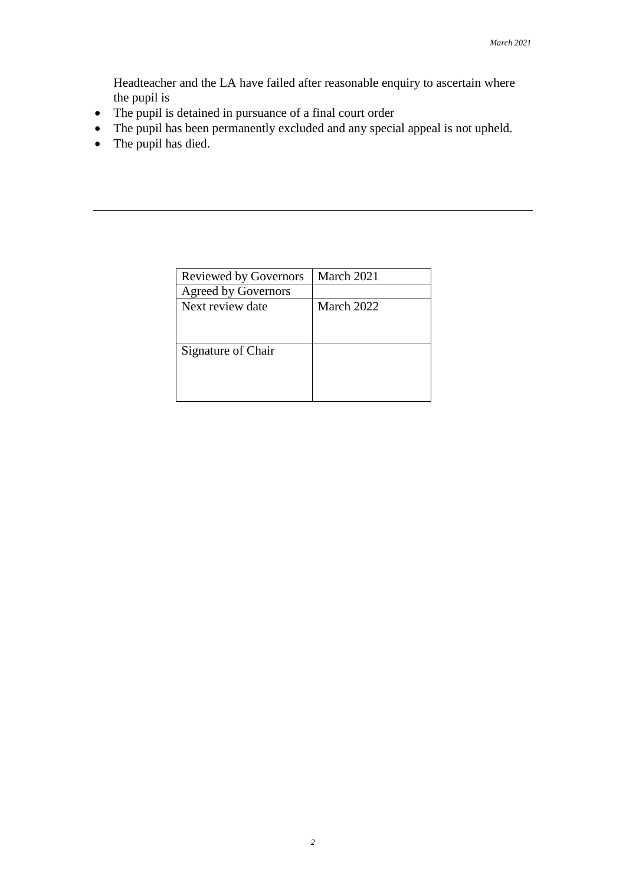Headteacher and the LA have failed after reasonable enquiry to ascertain where the pupil is

- The pupil is detained in pursuance of a final court order
- The pupil has been permanently excluded and any special appeal is not upheld.
- The pupil has died.

| <b>Reviewed by Governors</b> | March 2021 |
|------------------------------|------------|
| <b>Agreed by Governors</b>   |            |
| Next review date             | March 2022 |
|                              |            |
|                              |            |
| Signature of Chair           |            |
|                              |            |
|                              |            |
|                              |            |